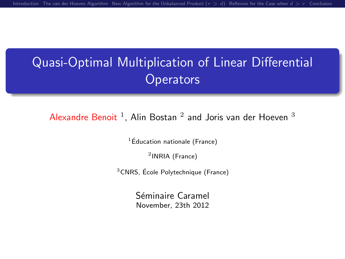## Quasi-Optimal Multiplication of Linear Differential **Operators**

Alexandre Benoit  $^1$ , Alin Bostan  $^2$  and Joris van der Hoeven  $^3$ 

 $1$ Éducation nationale (France)

2 INRIA (France)

 $3$ CNRS, École Polytechnique (France)

Séminaire Caramel November, 23th 2012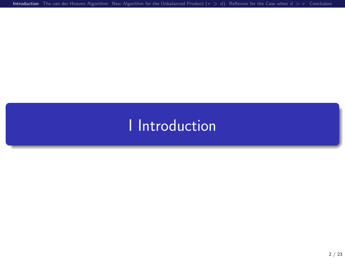[Introduction](#page-1-0) [The van der Hoeven Algorithm](#page-11-0) New Algorithm for the Unbalanced Product  $(r > d)$  [Reflexion for the Case when](#page-39-0)  $d > r$  [Conclusion](#page-47-0)

# <span id="page-1-0"></span>I [Introduction](#page-1-0)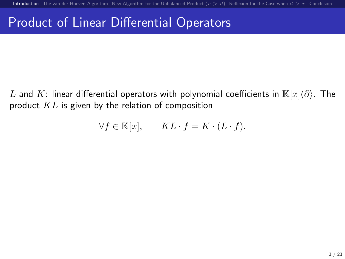### Product of Linear Differential Operators

L and K: linear differential operators with polynomial coefficients in  $\mathbb{K}[x]\langle\partial\rangle$ . The product  $KL$  is given by the relation of composition

$$
\forall f \in \mathbb{K}[x], \qquad KL \cdot f = K \cdot (L \cdot f).
$$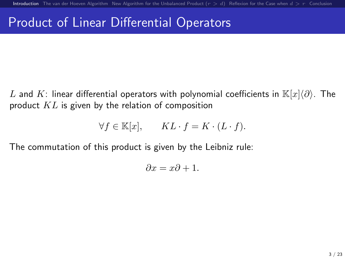### Product of Linear Differential Operators

L and K: linear differential operators with polynomial coefficients in  $\mathbb{K}[x]\langle\partial\rangle$ . The product  $KL$  is given by the relation of composition

$$
\forall f \in \mathbb{K}[x], \qquad KL \cdot f = K \cdot (L \cdot f).
$$

The commutation of this product is given by the Leibniz rule:

$$
\partial x = x\partial + 1.
$$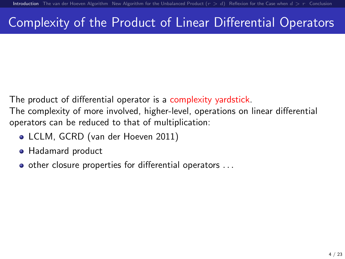### Complexity of the Product of Linear Differential Operators

The product of differential operator is a complexity yardstick.

The complexity of more involved, higher-level, operations on linear differential operators can be reduced to that of multiplication:

- LCLM, GCRD (van der Hoeven 2011)
- Hadamard product
- o other closure properties for differential operators ...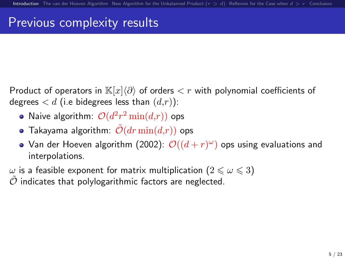### Previous complexity results

- Product of operators in  $\mathbb{K}[x]\langle\partial\rangle$  of orders  $\langle r \rangle$  with polynomial coefficients of degrees  $d$  (i.e bidegrees less than  $(d,r)$ ):
	- Naive algorithm:  $\mathcal{O}(d^2r^2\min(d,r))$  ops
	- $\bullet$  Takayama algorithm:  $\mathcal{O}(dr \min(d,r))$  ops
	- Van der Hoeven algorithm (2002):  $\mathcal{O}((d+r)^\omega)$  ops using evaluations and interpolations.

 $\omega$  is a feasible exponent for matrix multiplication  $(2 \leq \omega \leq 3)$ 

 $O$  indicates that polylogarithmic factors are neglected.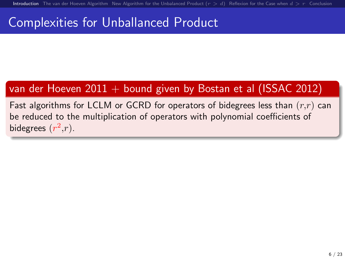### Complexities for Unballanced Product

### van der Hoeven  $2011 +$  bound given by Bostan et al (ISSAC 2012)

Fast algorithms for LCLM or GCRD for operators of bidegrees less than  $(r,r)$  can be reduced to the multiplication of operators with polynomial coefficients of bidegrees  $(r^2,r)$ .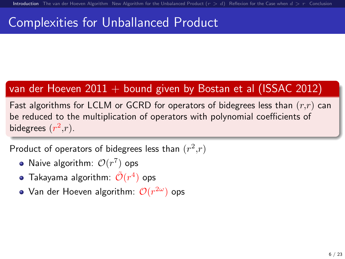### Complexities for Unballanced Product

### van der Hoeven  $2011 +$  bound given by Bostan et al (ISSAC 2012)

Fast algorithms for LCLM or GCRD for operators of bidegrees less than  $(r,r)$  can be reduced to the multiplication of operators with polynomial coefficients of bidegrees  $(r^2,r)$ .

Product of operators of bidegrees less than  $(r^2,r)$ 

- Naive algorithm:  $\mathcal{O}(r^7)$  ops
- Takayama algorithm:  $\tilde{\mathcal{O}}(r^4)$  ops
- Van der Hoeven algorithm:  $\mathcal{O}(r^{2\omega})$  ops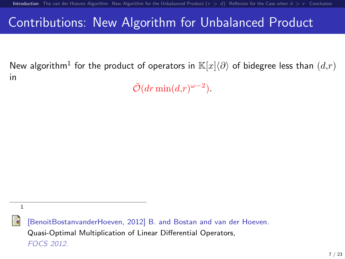### Contributions: New Algorithm for Unbalanced Product

New algorithm $^1$  for the product of operators in  $\mathbb{K}[x]\langle\partial\rangle$  of bidegree less than  $(d,r)$ in

 $\tilde{\mathcal{O}}(dr \min(d,r)^{\omega-2}).$ 



[BenoitBostanvanderHoeven, 2012] B. and Bostan and van der Hoeven. Quasi-Optimal Multiplication of Linear Differential Operators, FOCS 2012.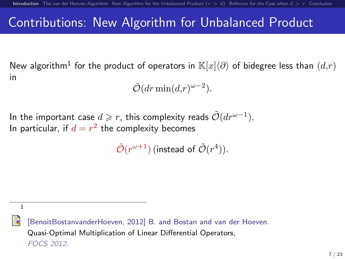### Contributions: New Algorithm for Unbalanced Product

New algorithm $^1$  for the product of operators in  $\mathbb{K}[x]\langle\partial\rangle$  of bidegree less than  $(d,r)$ in

 $\tilde{\mathcal{O}}(dr \min(d,r)^{\omega-2}).$ 

In the important case  $d\geqslant r,$  this complexity reads  $\tilde{\mathcal{O}}(dr^{\omega-1}).$ In particular, if  $d = r^2$  the complexity becomes

 $\tilde{\mathcal{O}}(r^{\omega+1})$  (instead of  $\tilde{\mathcal{O}}(r^4)$ ).

1

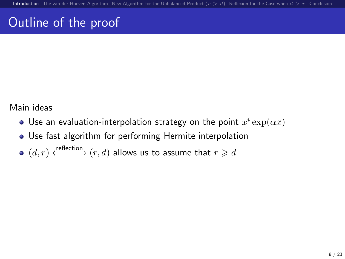## Outline of the proof

### Main ideas

- Use an evaluation-interpolation strategy on the point  $x^i\exp(\alpha x)$
- Use fast algorithm for performing Hermite interpolation
- $(d, r) \xleftarrow{\text{reflection}} (r, d)$  allows us to assume that  $r \geq d$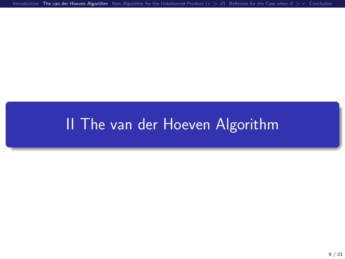[Introduction](#page-1-0) [The van der Hoeven Algorithm](#page-11-0) New Algorithm for the Unbalanced Product  $(r > d)$  [Reflexion for the Case when](#page-39-0)  $d > r$  [Conclusion](#page-47-0)

# <span id="page-11-0"></span>II [The van der Hoeven Algorithm](#page-11-0)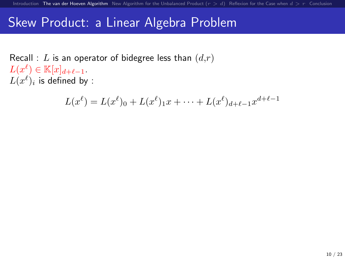### Skew Product: a Linear Algebra Problem

Recall : L is an operator of bidegree less than  $(d,r)$  $L(x^{\ell}) \in \mathbb{K}[x]_{d+\ell-1}.$  $L(x^\ell)_i$  is defined by :

$$
L(x^{\ell}) = L(x^{\ell})_0 + L(x^{\ell})_1 x + \dots + L(x^{\ell})_{d+\ell-1} x^{d+\ell-1}
$$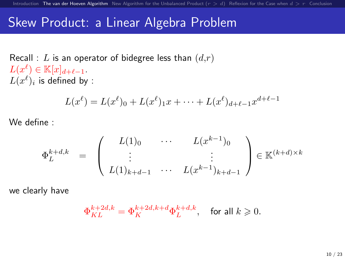### Skew Product: a Linear Algebra Problem

Recall : L is an operator of bidegree less than  $(d,r)$  $L(x^{\ell}) \in \mathbb{K}[x]_{d+\ell-1}.$  $L(x^\ell)_i$  is defined by :

$$
L(x^{\ell}) = L(x^{\ell})_0 + L(x^{\ell})_1 x + \dots + L(x^{\ell})_{d+\ell-1} x^{d+\ell-1}
$$

We define :

$$
\Phi_L^{k+d,k} = \begin{pmatrix} L(1)_0 & \cdots & L(x^{k-1})_0 \\ \vdots & & \vdots \\ L(1)_{k+d-1} & \cdots & L(x^{k-1})_{k+d-1} \end{pmatrix} \in \mathbb{K}^{(k+d)\times k}
$$

we clearly have

$$
\Phi_{KL}^{k+2d,k}=\Phi_K^{k+2d,k+d}\Phi_L^{k+d,k},\quad \text{for all }k\geqslant 0.
$$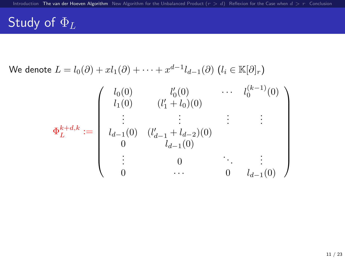## Study of  $\underline{\Phi}_L$

We denote 
$$
L = l_0(\partial) + xl_1(\partial) + \cdots + x^{d-1}l_{d-1}(\partial) \ (l_i \in \mathbb{K}[\partial]_r)
$$

$$
\Phi_L^{k+d,k} := \begin{pmatrix} l_0(0) & l'_0(0) & \cdots & l_0^{(k-1)}(0) \\ l_1(0) & (l'_1 + l_0)(0) & & & \\ \vdots & \vdots & \ddots & \vdots & \vdots \\ l_{d-1}(0) & (l'_{d-1} + l_{d-2})(0) & & & \\ 0 & l_{d-1}(0) & & & & \\ \vdots & 0 & \cdots & 0 & l_{d-1}(0) \end{pmatrix}
$$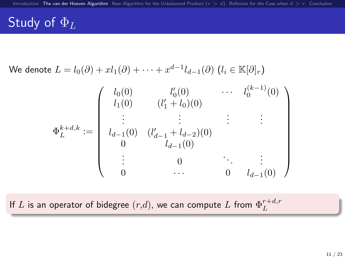### Study of  $\Phi_L$

We denote 
$$
L = l_0(\partial) + xl_1(\partial) + \cdots + x^{d-1}l_{d-1}(\partial) \ (l_i \in \mathbb{K}[\partial]_r)
$$

|                     | $l_0(0)$ | $l'_{0}(0)$                            | $\ldots$ . | $l_0^{(k-1)}(0)$ |
|---------------------|----------|----------------------------------------|------------|------------------|
|                     | $l_1(0)$ | $(l'_1 + l_0)(0)$                      |            |                  |
|                     |          |                                        |            |                  |
| $\Phi^{k+d,k}_L :=$ |          | $l_{d-1}(0)$ $(l'_{d-1} + l_{d-2})(0)$ |            |                  |
|                     |          | $l_{d-1}(0)$                           |            |                  |
|                     |          |                                        |            |                  |
|                     |          |                                        |            | $l_{d-1}(0)$     |

If  $L$  is an operator of bidegree  $(r,d)$ , we can compute  $L$  from  $\Phi_L^{r+d,r}$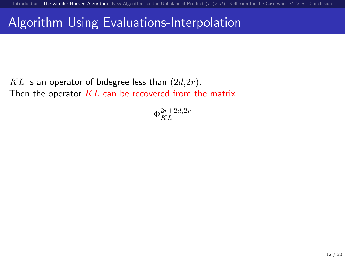### Algorithm Using Evaluations-Interpolation

 $KL$  is an operator of bidegree less than  $(2d,2r)$ . Then the operator  $KL$  can be recovered from the matrix

 $\Phi_{KL}^{2r+2d,2r}$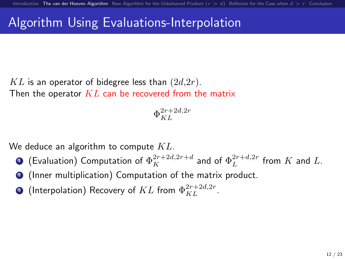### Algorithm Using Evaluations-Interpolation

 $KL$  is an operator of bidegree less than  $(2d,2r)$ . Then the operator  $KL$  can be recovered from the matrix

$$
\Phi_{KL}^{2r+2d,2r}
$$

We deduce an algorithm to compute  $KL$ .

- $\bullet$  (Evaluation) Computation of  $\Phi^{2r+2d,2r+d}_K$  and of  $\Phi^{2r+d,2r}_L$  from  $K$  and  $L.$
- <sup>2</sup> (Inner multiplication) Computation of the matrix product.
- $\bullet$  (Interpolation) Recovery of  $KL$  from  $\Phi_{KL}^{2r+2d,2r}.$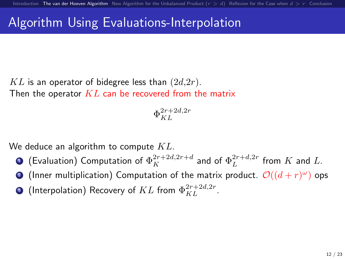### Algorithm Using Evaluations-Interpolation

 $KL$  is an operator of bidegree less than  $(2d,2r)$ . Then the operator  $KL$  can be recovered from the matrix

$$
\Phi_{KL}^{2r+2d,2r}
$$

We deduce an algorithm to compute  $KL$ .

- $\bullet$  (Evaluation) Computation of  $\Phi^{2r+2d,2r+d}_K$  and of  $\Phi^{2r+d,2r}_L$  from  $K$  and  $L.$
- **2** (Inner multiplication) Computation of the matrix product.  $\mathcal{O}((d+r)^\omega)$  ops
- $\bullet$  (Interpolation) Recovery of  $KL$  from  $\Phi_{KL}^{2r+2d,2r}.$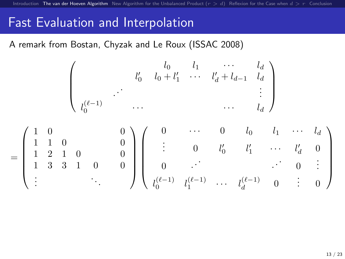### Fast Evaluation and Interpolation

A remark from Bostan, Chyzak and Le Roux (ISSAC 2008)

$$
\begin{pmatrix}\n & l_0 & l_1 & \cdots & l_d \\
 & l_0' & l_0 + l_1' & \cdots & l_d' + l_{d-1} & l_d \\
 & \ddots & & & & \vdots \\
l_0^{(\ell-1)} & \cdots & & & & \cdots & l_d\n\end{pmatrix}
$$
\n
$$
= \begin{pmatrix}\n1 & 0 & & & 0 \\
1 & 1 & 0 & & 0 \\
1 & 2 & 1 & 0 & & 0 \\
1 & 3 & 3 & 1 & 0 & 0 \\
\vdots & & & & \ddots & \vdots \\
1 & & & & & \ddots\n\end{pmatrix}\n\begin{pmatrix}\n0 & \cdots & 0 & l_0 & l_1 & \cdots & l_d \\
\vdots & 0 & l_0' & l_1' & \cdots & l_d' & 0 \\
0 & \cdots & & & & \vdots & 0 & \vdots \\
l_0^{(\ell-1)} & l_1^{(\ell-1)} & \cdots & l_d^{(\ell-1)} & 0 & \vdots & 0\n\end{pmatrix}
$$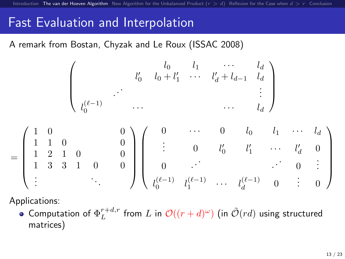### Fast Evaluation and Interpolation

A remark from Bostan, Chyzak and Le Roux (ISSAC 2008)

$$
\begin{pmatrix}\n & l_0 & l_1 & \cdots & l_d \\
 & l'_0 & l_0 + l'_1 & \cdots & l'_d + l_{d-1} & l_d \\
 & & & & & \vdots \\
l_0^{(\ell-1)} & \cdots & & & & \cdots & l_d\n\end{pmatrix}
$$
\n
$$
= \begin{pmatrix}\n1 & 0 & & & 0 \\
1 & 1 & 0 & & 0 \\
1 & 2 & 1 & 0 & & 0 \\
1 & 3 & 3 & 1 & 0 & 0 \\
\vdots & & & & \ddots & \vdots \\
1 & & & & & \ddots\n\end{pmatrix}\n\begin{pmatrix}\n0 & \cdots & 0 & l_0 & l_1 & \cdots & l_d \\
\vdots & & & 0 & l'_0 & l'_1 & \cdots & l'_d & 0 \\
0 & \cdots & & & & \ddots & 0 & \vdots \\
l_0^{(\ell-1)} & l_1^{(\ell-1)} & \cdots & l_d^{(\ell-1)} & 0 & \vdots & 0\n\end{pmatrix}
$$

Applications:

Computation of  $\Phi_L^{r+d,r}$  from  $L$  in  $\mathcal{O}((r+d)^\omega)$  (in  $\tilde{\mathcal{O}}(rd)$  using structured matrices)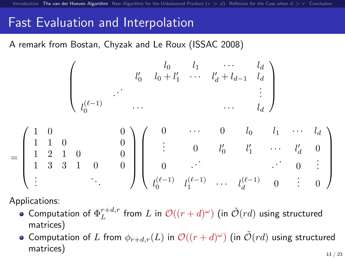### Fast Evaluation and Interpolation

A remark from Bostan, Chyzak and Le Roux (ISSAC 2008)

$$
\begin{pmatrix}\n & l_0 & l_1 & \cdots & l_d \\
 & l'_0 & l_0 + l'_1 & \cdots & l'_d + l_{d-1} & l_d \\
 & & & & & \vdots \\
l_0^{(\ell-1)} & & \cdots & & & \cdots & l_d\n\end{pmatrix}
$$
\n
$$
= \begin{pmatrix}\n1 & 0 & & & 0 \\
1 & 1 & 0 & & 0 \\
1 & 2 & 1 & 0 & & 0 \\
1 & 3 & 3 & 1 & 0 & 0 \\
\vdots & & & & \ddots & \vdots \\
\vdots & & & & \ddots & \vdots \\
1 & & & & & \ddots\n\end{pmatrix}\n\begin{pmatrix}\n0 & \cdots & 0 & l_0 & l_1 & \cdots & l_d \\
\vdots & & & & \ddots & l'_d & 0 \\
0 & \cdots & & & & \vdots & 0 \\
l_0^{(\ell-1)} & l_1^{(\ell-1)} & \cdots & l_d^{(\ell-1)} & 0 & \vdots & 0\n\end{pmatrix}
$$

Applications:

- Computation of  $\Phi_L^{r+d,r}$  from  $L$  in  $\mathcal{O}((r+d)^\omega)$  (in  $\tilde{\mathcal{O}}(rd)$  using structured matrices)
- Computation of L from  $\phi_{r+d,r}(L)$  in  $\mathcal{O}((r+d)^\omega)$  (in  $\tilde{\mathcal{O}}(rd)$  using structured matrices)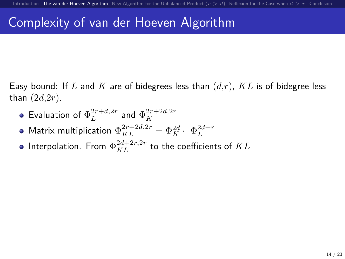Easy bound: If L and K are of bidegrees less than  $(d,r)$ ,  $KL$  is of bidegree less than  $(2d,2r)$ .

- Evaluation of  $\Phi_L^{2r+d,2r}$  and  $\Phi_K^{2r+2d,2r}$
- Matrix multiplication  $\Phi_{KL}^{2r+2d,2r} = \Phi_K^{2d} \cdot \Phi_L^{2d+r}$
- Interpolation. From  $\Phi_{KL}^{2d+2r,2r}$  to the coefficients of  $KL$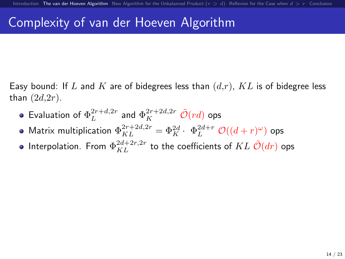Easy bound: If L and K are of bidegrees less than  $(d,r)$ , KL is of bidegree less than  $(2d,2r)$ .

- Evaluation of  $\Phi_L^{2r+d,2r}$  and  $\Phi_K^{2r+2d,2r}$   $\tilde{\mathcal{O}}(rd)$  ops
- Matrix multiplication  $\Phi_{KL}^{2r+2d,2r} = \Phi_K^{2d} \cdot \Phi_L^{2d+r} \mathcal{O}((d+r)^\omega)$  ops
- Interpolation. From  $\Phi_{KL}^{2d+2r,2r}$  to the coefficients of  $KL$   $\tilde{\mathcal{O}}(dr)$  ops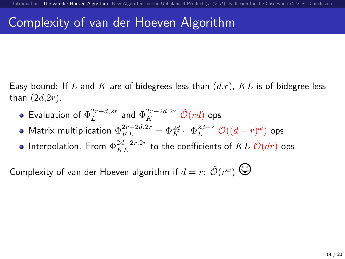Easy bound: If L and K are of bidegrees less than  $(d,r)$ , KL is of bidegree less than  $(2d,2r)$ .

- Evaluation of  $\Phi_L^{2r+d,2r}$  and  $\Phi_K^{2r+2d,2r}$   $\tilde{\mathcal{O}}(rd)$  ops
- Matrix multiplication  $\Phi_{KL}^{2r+2d,2r} = \Phi_K^{2d} \cdot \Phi_L^{2d+r} \mathcal{O}((d+r)^\omega)$  ops
- Interpolation. From  $\Phi_{KL}^{2d+2r,2r}$  to the coefficients of  $KL$   $\tilde{\mathcal{O}}(dr)$  ops

Complexity of van der Hoeven algorithm if  $d=r\colon\tilde{\mathcal{O}}(r^\omega) \,\bigodot\,$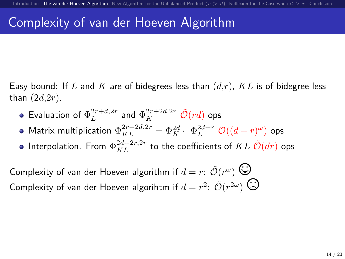Easy bound: If L and K are of bidegrees less than  $(d,r)$ , KL is of bidegree less than  $(2d,2r)$ .

- Evaluation of  $\Phi_L^{2r+d,2r}$  and  $\Phi_K^{2r+2d,2r}$   $\tilde{\mathcal{O}}(rd)$  ops
- Matrix multiplication  $\Phi_{KL}^{2r+2d,2r} = \Phi_K^{2d} \cdot \Phi_L^{2d+r} \mathcal{O}((d+r)^\omega)$  ops
- Interpolation. From  $\Phi_{KL}^{2d+2r,2r}$  to the coefficients of  $KL$   $\tilde{\mathcal{O}}(dr)$  ops

Complexity of van der Hoeven algorithm if  $d=r\colon\tilde{\mathcal{O}}(r^\omega) \,\bigodot\,$ Complexity of van der Hoeven algorithm if  $d = r^2$ :  $\tilde{\mathcal{O}}(r^{2\omega})$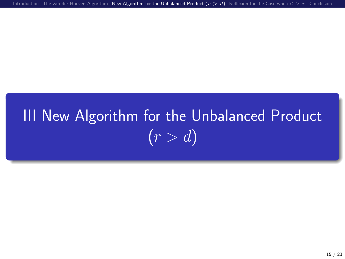[Introduction](#page-1-0) [The van der Hoeven Algorithm](#page-11-0) New Algorithm for the Unbalanced Product  $(r > d)$  [Reflexion for the Case when](#page-39-0)  $d > r$  [Conclusion](#page-47-0)

# <span id="page-26-0"></span>III [New Algorithm for the Unbalanced Product](#page-26-0)  $(r > d)$  $(r > d)$  $(r > d)$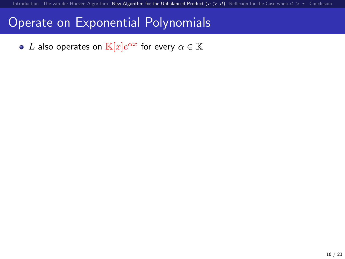### Operate on Exponential Polynomials

 $L$  also operates on  $\mathbb{K}[x]e^{\alpha x}$  for every  $\alpha\in\mathbb{K}$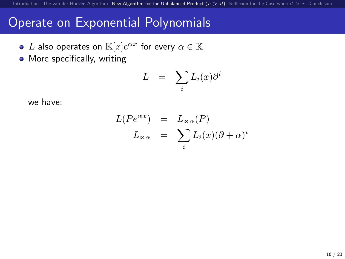### Operate on Exponential Polynomials

- $L$  also operates on  $\mathbb{K}[x]e^{\alpha x}$  for every  $\alpha\in\mathbb{K}$
- More specifically, writing

$$
L = \sum_i L_i(x) \partial^i
$$

we have:

$$
L(Pe^{\alpha x}) = L_{\kappa \alpha}(P)
$$
  

$$
L_{\kappa \alpha} = \sum_{i} L_{i}(x)(\partial + \alpha)^{i}
$$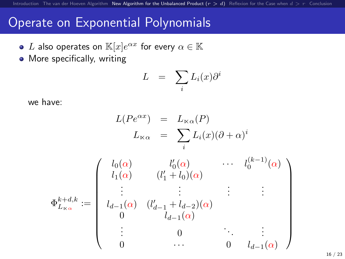### Operate on Exponential Polynomials

- $L$  also operates on  $\mathbb{K}[x]e^{\alpha x}$  for every  $\alpha\in\mathbb{K}$
- More specifically, writing

$$
L = \sum_i L_i(x) \partial^i
$$

we have:

$$
L(Pe^{\alpha x}) = L_{\kappa\alpha}(P)
$$
  
\n
$$
L_{\kappa\alpha} = \sum_{i} L_{i}(x)(\partial + \alpha)^{i}
$$
  
\n
$$
\Phi_{L_{\kappa\alpha}}^{k+d,k} := \begin{pmatrix} l_{0}(\alpha) & l'_{0}(\alpha) & \cdots & l_{0}^{(k-1)}(\alpha) \\ l_{1}(\alpha) & (l'_{1} + l_{0})(\alpha) & & \\ \vdots & \vdots & \vdots & \vdots \\ l_{d-1}(\alpha) & (l'_{d-1} + l_{d-2})(\alpha) & & \\ 0 & l_{d-1}(\alpha) & & \\ \vdots & 0 & & \vdots \\ 0 & \cdots & 0 & l_{d-1}(\alpha) \end{pmatrix}
$$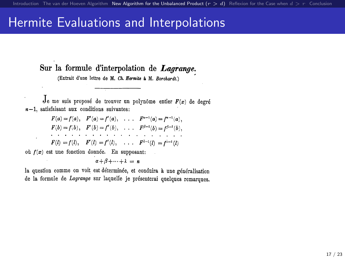### Hermite Evaluations and Interpolations

Sur la formule d'interpolation de Lagrange.

(Extrait d'une lettre de M. Ch. Hermite à M. Borchardt.)

Je me suis proposé de trouver un polynôme entier  $F(x)$  de degré  $n-1$ , satisfaisant aux conditions suivantes:

|                                                  |  | $F(a) = f(a), \quad F'(a) = f'(a), \quad \ldots \quad F^{a-1}(a) = f^{a-1}(a).$                                                                                                                                                |
|--------------------------------------------------|--|--------------------------------------------------------------------------------------------------------------------------------------------------------------------------------------------------------------------------------|
|                                                  |  | $F(b) = f(b), \quad F'(b) = f'(b), \quad \ldots \quad F^{\beta-1}(b) = f^{\beta-1}(b).$                                                                                                                                        |
|                                                  |  | and the company of the company of the company of the company of the company of the company of the company of the company of the company of the company of the company of the company of the company of the company of the comp |
|                                                  |  | $F(l) = f(l), \quad F'(l) = f'(l), \quad \dots \quad F^{l-1}(l) = f^{l-1}(l)$                                                                                                                                                  |
| où $f(x)$ est une fonction donnée. En supposant: |  |                                                                                                                                                                                                                                |
|                                                  |  |                                                                                                                                                                                                                                |

 $\alpha + \beta + \cdots + \lambda = n$ 

la question comme on voit est déterminée, et conduira à une généralisation de la formule de Lagrange sur laquelle je présenterai quelques remarques.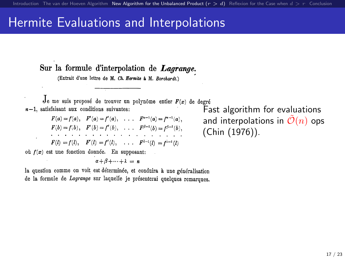### Hermite Evaluations and Interpolations

Sur la formule d'interpolation de Lagrange.

(Extrait d'une lettre de M. Ch. Hermite à M. Borchardt.)

 $J_{e}$  me suis proposé de trouver un polynôme entier  $F(x)$  de degré  $n-1$ , satisfaisant aux conditions suivantes:

 $F(a) = f(a), \quad F'(a) = f'(a), \quad \ldots \quad F^{a-1}(a) = f^{a-1}(a).$  $F(b) = f(b), \quad F'(b) = f'(b), \quad \dots \quad F^{\beta - 1}(b) = f^{\beta - 1}(b),$  $F(l) = f(l), \quad F'(l) = f'(l), \quad \dots \quad F^{l-1}(l) = f^{l-1}(l)$ où  $f(x)$  est une fonction donnée. En supposant:

 $\alpha + \beta + \cdots + \lambda = n$ 

la question comme on voit est déterminée, et conduira à une généralisation de la formule de Lagrange sur laquelle je présenterai quelques remarques.

Fast algorithm for evaluations and interpolations in  $\mathcal{O}(n)$  ops (Chin (1976)).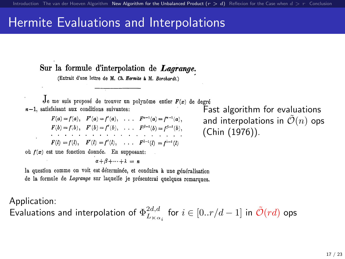### Hermite Evaluations and Interpolations

Sur la formule d'interpolation de Lagrange.

(Extrait d'une lettre de M. Ch. Hermite à M. Borchardt.)

Je me suis proposé de trouver un polynôme entier  $F(x)$  de degré  $n-1$ , satisfaisant aux conditions suivantes:

 $F(a) = f(a), \quad F'(a) = f'(a), \quad \ldots \quad F^{a-1}(a) = f^{a-1}(a).$  $F(b) = f(b), \quad F'(b) = f'(b), \quad \dots \quad F^{\beta - 1}(b) = f^{\beta - 1}(b),$  $F(l) = f(l), \quad F'(l) = f'(l), \quad \dots \quad F^{l-1}(l) = f^{l-1}(l)$ où  $f(x)$  est une fonction donnée. En sunnosant:

 $\alpha + \beta + \cdots + \lambda = n$ 

Fast algorithm for evaluations and interpolations in  $\tilde{\mathcal{O}}(n)$  ops (Chin (1976)).

la question comme on voit est déterminée, et conduira à une généralisation de la formule de Lagrange sur laquelle je présenterai quelques remarques.

Application:

Evaluations and interpolation of  $\Phi^{2d,d}_{L_{\,\alpha_i}}$  for  $i\in[0..r/d-1]$  in  $\tilde{\mathcal{O}}(rd)$  ops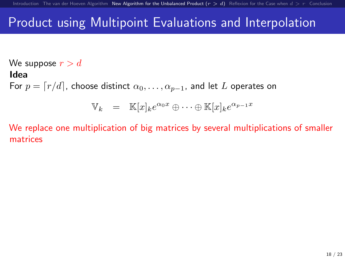We suppose  $r > d$ Idea For  $p = \lceil r/d \rceil$ , choose distinct  $\alpha_0, \ldots, \alpha_{p-1}$ , and let L operates on

$$
\mathbb{V}_k = \mathbb{K}[x]_k e^{\alpha_0 x} \oplus \cdots \oplus \mathbb{K}[x]_k e^{\alpha_{p-1} x}
$$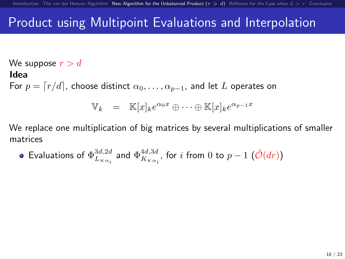We suppose  $r > d$ Idea For  $p = \lceil r/d \rceil$ , choose distinct  $\alpha_0, \ldots, \alpha_{p-1}$ , and let L operates on

$$
\mathbb{V}_k = \mathbb{K}[x]_k e^{\alpha_0 x} \oplus \cdots \oplus \mathbb{K}[x]_k e^{\alpha_{p-1} x}
$$

• Evaluations of 
$$
\Phi^{3d,2d}_{L_{\kappa_{\alpha_i}}}
$$
 and  $\Phi^{4d,3d}_{K_{\kappa_{\alpha_i}}}$ , for  $i$  from 0 to  $p-1$   $(\tilde{\mathcal{O}}(dr))$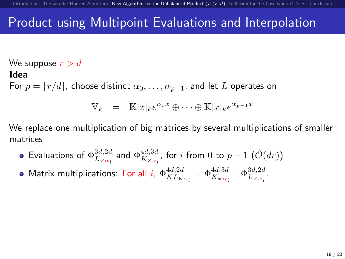We suppose  $r > d$ Idea For  $p = \lceil r/d \rceil$ , choose distinct  $\alpha_0, \ldots, \alpha_{p-1}$ , and let L operates on

$$
\mathbb{V}_k = \mathbb{K}[x]_k e^{\alpha_0 x} \oplus \cdots \oplus \mathbb{K}[x]_k e^{\alpha_{p-1} x}
$$

- Evaluations of  $\Phi^{3d,2d}_{L_{\scriptscriptstyle{K}\alpha_i}}$  and  $\Phi^{4d,3d}_{K_{\scriptscriptstyle{K}\alpha_i}}$ , for  $i$  from  $0$  to  $p-1$   $(\tilde{\mathcal{O}}(dr))$
- Matrix multiplications: For all i,  $\Phi^{4d,2d}_{KL_{K\alpha_i}} = \Phi^{4d,3d}_{K_{K\alpha_i}} \cdot \Phi^{3d,2d}_{L_{K\alpha_i}}$ .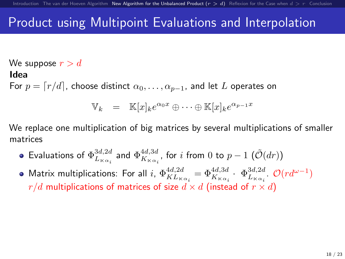We suppose  $r > d$ Idea For  $p = \lceil r/d \rceil$ , choose distinct  $\alpha_0, \ldots, \alpha_{p-1}$ , and let L operates on

$$
\mathbb{V}_k = \mathbb{K}[x]_k e^{\alpha_0 x} \oplus \cdots \oplus \mathbb{K}[x]_k e^{\alpha_{p-1} x}
$$

- Evaluations of  $\Phi^{3d,2d}_{L_{\scriptscriptstyle{K}\alpha_i}}$  and  $\Phi^{4d,3d}_{K_{\scriptscriptstyle{K}\alpha_i}}$ , for  $i$  from  $0$  to  $p-1$   $(\tilde{\mathcal{O}}(dr))$
- Matrix multiplications: For all  $i$ ,  $\Phi^{4d,2d}_{KL_{K\alpha_i}} = \Phi^{4d,3d}_{K_{K\alpha_i}} \cdot \Phi^{3d,2d}_{L_{K\alpha_i}}$ .  $\mathcal{O}(rd^{\omega-1})$  $r/d$  multiplications of matrices of size  $d \times d$  (instead of  $r \times d$ )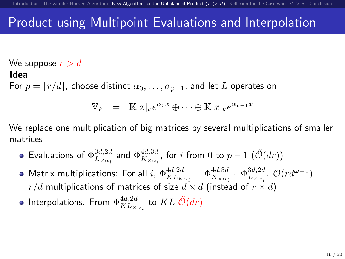We suppose  $r > d$ Idea For  $p = \lceil r/d \rceil$ , choose distinct  $\alpha_0, \ldots, \alpha_{p-1}$ , and let L operates on

$$
\mathbb{V}_k = \mathbb{K}[x]_k e^{\alpha_0 x} \oplus \cdots \oplus \mathbb{K}[x]_k e^{\alpha_{p-1} x}
$$

- Evaluations of  $\Phi^{3d,2d}_{L_{\scriptscriptstyle{K}\alpha_i}}$  and  $\Phi^{4d,3d}_{K_{\scriptscriptstyle{K}\alpha_i}}$ , for  $i$  from  $0$  to  $p-1$   $(\tilde{\mathcal{O}}(dr))$
- Matrix multiplications: For all  $i$ ,  $\Phi^{4d,2d}_{KL_{K\alpha_i}} = \Phi^{4d,3d}_{K_{K\alpha_i}} \cdot \Phi^{3d,2d}_{L_{K\alpha_i}} \cdot \mathcal{O}(rd^{\omega-1})$  $r/d$  multiplications of matrices of size  $d \times d$  (instead of  $r \times d$ )
- Interpolations. From  $\Phi^{4d,2d}_{KL_{\ltimes \alpha_i}}$  to  $KL$   $\tilde{\mathcal{O}}(dr)$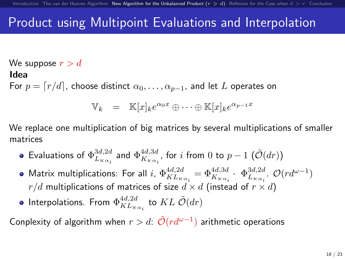We suppose  $r > d$ Idea For  $p = \lceil r/d \rceil$ , choose distinct  $\alpha_0, \ldots, \alpha_{p-1}$ , and let L operates on

$$
\mathbb{V}_k = \mathbb{K}[x]_k e^{\alpha_0 x} \oplus \cdots \oplus \mathbb{K}[x]_k e^{\alpha_{p-1} x}
$$

We replace one multiplication of big matrices by several multiplications of smaller matrices

- Evaluations of  $\Phi^{3d,2d}_{L_{\scriptscriptstyle{K}\alpha_i}}$  and  $\Phi^{4d,3d}_{K_{\scriptscriptstyle{K}\alpha_i}}$ , for  $i$  from  $0$  to  $p-1$   $(\tilde{\mathcal{O}}(dr))$
- Matrix multiplications: For all  $i$ ,  $\Phi^{4d,2d}_{KL_{K\alpha_i}} = \Phi^{4d,3d}_{K_{K\alpha_i}} \cdot \Phi^{3d,2d}_{L_{K\alpha_i}} \cdot \mathcal{O}(rd^{\omega-1})$  $r/d$  multiplications of matrices of size  $d \times d$  (instead of  $r \times d$ )
- Interpolations. From  $\Phi^{4d,2d}_{KL_{\ltimes \alpha_i}}$  to  $KL$   $\tilde{\mathcal{O}}(dr)$

Conplexity of algorithm when  $r>d$ :  $\tilde{\mathcal{O}}(rd^{\omega-1})$  arithmetic operations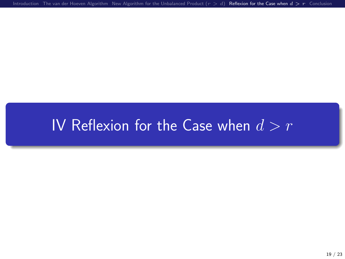[Introduction](#page-1-0) [The van der Hoeven Algorithm](#page-11-0) [New Algorithm for the Unbalanced Product \(](#page-26-0) $r > d$ ) [Reflexion for the Case when](#page-39-0)  $d > r$  [Conclusion](#page-47-0)

# <span id="page-39-0"></span>IV [Reflexion for the Case when](#page-39-0)  $d > r$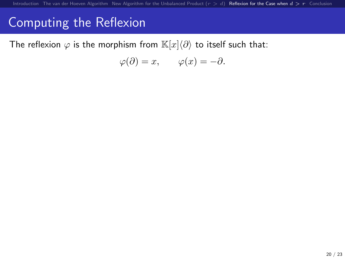The reflexion  $\varphi$  is the morphism from  $\mathbb{K}[x]\langle\partial\rangle$  to itself such that:

$$
\varphi(\partial) = x, \qquad \varphi(x) = -\partial.
$$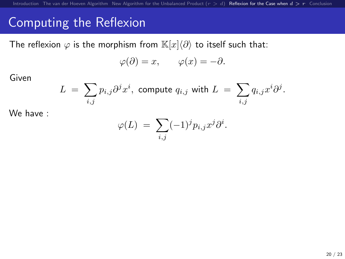The reflexion  $\varphi$  is the morphism from  $\mathbb{K}[x]\langle\partial\rangle$  to itself such that:

$$
\varphi(\partial) = x, \qquad \varphi(x) = -\partial.
$$

Given

$$
L = \sum_{i,j} p_{i,j} \partial^j x^i
$$
, compute  $q_{i,j}$  with  $L = \sum_{i,j} q_{i,j} x^i \partial^j$ .

We have :

$$
\varphi(L) = \sum_{i,j} (-1)^j p_{i,j} x^j \partial^i.
$$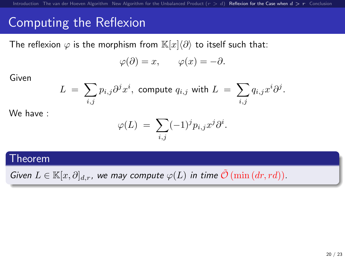The reflexion  $\varphi$  is the morphism from  $\mathbb{K}[x]\langle\partial\rangle$  to itself such that:

$$
\varphi(\partial) = x, \qquad \varphi(x) = -\partial.
$$

Given

$$
L = \sum_{i,j} p_{i,j} \partial^j x^i
$$
, compute  $q_{i,j}$  with  $L = \sum_{i,j} q_{i,j} x^i \partial^j$ .

We have :

$$
\varphi(L) = \sum_{i,j} (-1)^j p_{i,j} x^j \partial^i.
$$

#### Theorem

Given  $L \in \mathbb{K}[x, \partial]_{d,r}$ , we may compute  $\varphi(L)$  in time  $\tilde{\mathcal{O}}(\min(dx, rd))$ .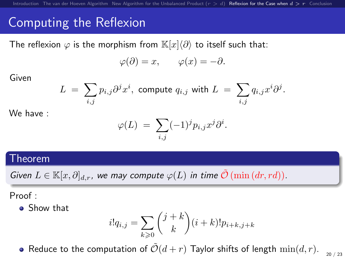The reflexion  $\varphi$  is the morphism from  $\mathbb{K}[x]\langle\partial\rangle$  to itself such that:

$$
\varphi(\partial) = x, \qquad \varphi(x) = -\partial.
$$

Given

$$
L = \sum_{i,j} p_{i,j} \partial^j x^i
$$
, compute  $q_{i,j}$  with  $L = \sum_{i,j} q_{i,j} x^i \partial^j$ .

We have :

$$
\varphi(L) = \sum_{i,j} (-1)^j p_{i,j} x^j \partial^i.
$$

### Theorem

Given  $L \in \mathbb{K}[x, \partial]_{d,r}$ , we may compute  $\varphi(L)$  in time  $\tilde{\mathcal{O}}(\min(dx, rd))$ .

Proof :

**•** Show that

$$
i!q_{i,j} = \sum_{k \geq 0} {j+k \choose k} (i+k)! p_{i+k,j+k}
$$

20 / 23 • Reduce to the computation of  $\tilde{\mathcal{O}}(d+r)$  Taylor shifts of length  $\min(d, r)$ .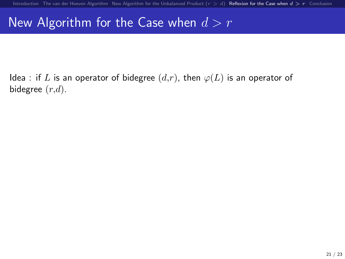### New Algorithm for the Case when  $d > r$

Idea : if L is an operator of bidegree  $(d,r)$ , then  $\varphi(L)$  is an operator of bidegree  $(r,d)$ .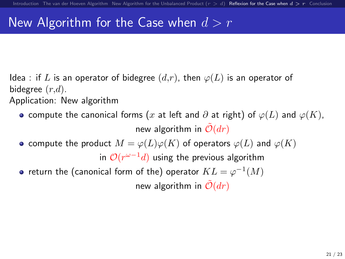### New Algorithm for the Case when  $d > r$

- Idea : if L is an operator of bidegree  $(d,r)$ , then  $\varphi(L)$  is an operator of bidegree  $(r,d)$ . Application: New algorithm
	- o compute the canonical forms (x at left and  $\partial$  at right) of  $\varphi(L)$  and  $\varphi(K)$ , new algorithm in  $\tilde{\mathcal{O}}(dr)$
	- compute the product  $M = \varphi(L)\varphi(K)$  of operators  $\varphi(L)$  and  $\varphi(K)$

in  $\mathcal{O}(r^{\omega-1}d)$  using the previous algorithm

return the (canonical form of the) operator  $KL = \varphi^{-1}(M)$ new algorithm in  $\mathcal{O}(dr)$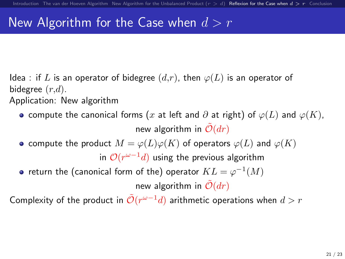### New Algorithm for the Case when  $d > r$

- Idea : if L is an operator of bidegree  $(d,r)$ , then  $\varphi(L)$  is an operator of bidegree  $(r,d)$ . Application: New algorithm
	- o compute the canonical forms (x at left and  $\partial$  at right) of  $\varphi(L)$  and  $\varphi(K)$ , new algorithm in  $\tilde{\mathcal{O}}(dr)$
	- compute the product  $M = \varphi(L)\varphi(K)$  of operators  $\varphi(L)$  and  $\varphi(K)$ in  $\mathcal{O}(r^{\omega-1}d)$  using the previous algorithm
		- return the (canonical form of the) operator  $KL = \varphi^{-1}(M)$

new algorithm in  $\tilde{\mathcal{O}}(dr)$ 

Complexity of the product in  $\tilde{\mathcal{O}}(r^{\omega-1}d)$  arithmetic operations when  $d>r$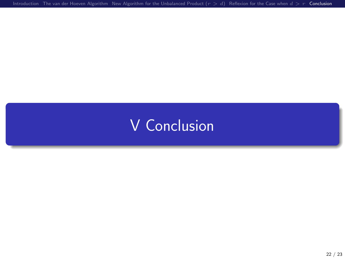# <span id="page-47-0"></span>V [Conclusion](#page-47-0)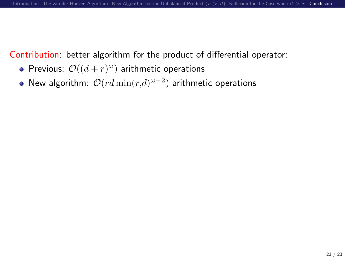Contribution: better algorithm for the product of differential operator:

- Previous:  $\mathcal{O}((d+r)^\omega)$  arithmetic operations
- New algorithm:  $\mathcal{O}(rd\min(r,d)^{\omega-2})$  arithmetic operations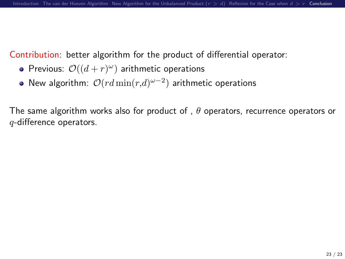Contribution: better algorithm for the product of differential operator:

- Previous:  $\mathcal{O}((d+r)^\omega)$  arithmetic operations
- New algorithm:  $\mathcal{O}(rd\min(r,d)^{\omega-2})$  arithmetic operations

The same algorithm works also for product of ,  $\theta$  operators, recurrence operators or q-difference operators.